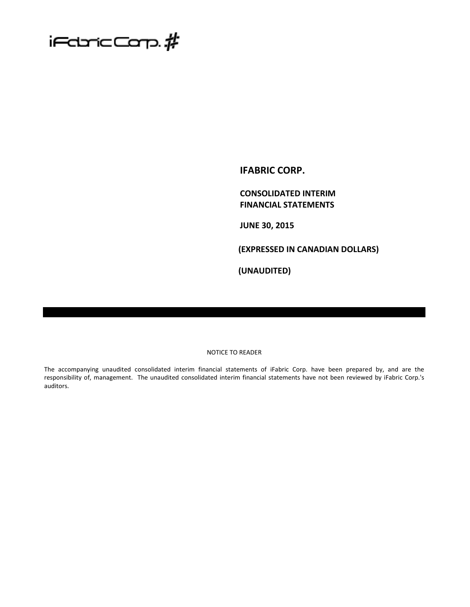

**IFABRIC CORP.**

**CONSOLIDATED INTERIM FINANCIAL STATEMENTS**

**JUNE 30, 2015**

**(EXPRESSED IN CANADIAN DOLLARS)**

**(UNAUDITED)**

#### NOTICE TO READER

The accompanying unaudited consolidated interim financial statements of iFabric Corp. have been prepared by, and are the responsibility of, management. The unaudited consolidated interim financial statements have not been reviewed by iFabric Corp.'s auditors.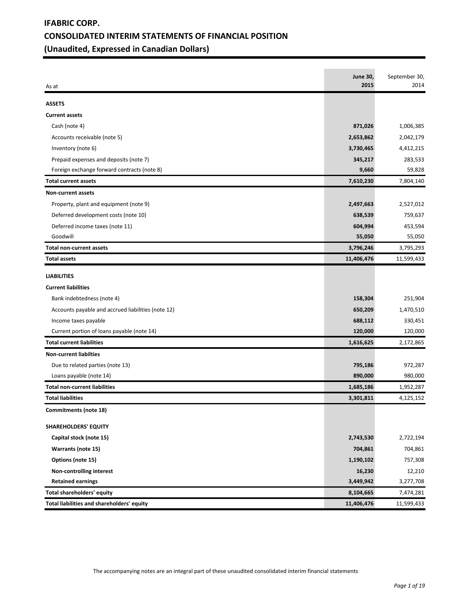# **IFABRIC CORP. CONSOLIDATED INTERIM STATEMENTS OF FINANCIAL POSITION (Unaudited, Expressed in Canadian Dollars)**

| As at                                              | <b>June 30,</b><br>2015 | September 30,<br>2014 |
|----------------------------------------------------|-------------------------|-----------------------|
| <b>ASSETS</b>                                      |                         |                       |
| <b>Current assets</b>                              |                         |                       |
| Cash (note 4)                                      | 871,026                 | 1,006,385             |
| Accounts receivable (note 5)                       | 2,653,862               | 2,042,179             |
| Inventory (note 6)                                 | 3,730,465               | 4,412,215             |
| Prepaid expenses and deposits (note 7)             | 345,217                 | 283,533               |
| Foreign exchange forward contracts (note 8)        | 9,660                   | 59,828                |
| <b>Total current assets</b>                        | 7,610,230               | 7,804,140             |
| Non-current assets                                 |                         |                       |
| Property, plant and equipment (note 9)             | 2,497,663               | 2,527,012             |
| Deferred development costs (note 10)               | 638,539                 | 759,637               |
| Deferred income taxes (note 11)                    | 604,994                 | 453,594               |
| Goodwill                                           | 55,050                  | 55,050                |
| <b>Total non-current assets</b>                    | 3,796,246               | 3,795,293             |
| <b>Total assets</b>                                | 11,406,476              | 11,599,433            |
| <b>LIABILITIES</b>                                 |                         |                       |
| <b>Current liabilities</b>                         |                         |                       |
| Bank indebtedness (note 4)                         | 158,304                 | 251,904               |
| Accounts payable and accrued liabilities (note 12) | 650,209                 | 1,470,510             |
| Income taxes payable                               | 688,112                 | 330,451               |
| Current portion of loans payable (note 14)         | 120,000                 | 120,000               |
| <b>Total current liabilities</b>                   | 1,616,625               | 2,172,865             |
| <b>Non-current liabilties</b>                      |                         |                       |
| Due to related parties (note 13)                   | 795,186                 | 972,287               |
| Loans payable (note 14)                            | 890,000                 | 980,000               |
| <b>Total non-current liabilities</b>               | 1,685,186               | 1,952,287             |
| <b>Total liabilities</b>                           | 3,301,811               | 4,125,152             |
| Commitments (note 18)                              |                         |                       |
| <b>SHAREHOLDERS' EQUITY</b>                        |                         |                       |
| Capital stock (note 15)                            | 2,743,530               | 2,722,194             |
| Warrants (note 15)                                 | 704,861                 | 704,861               |
| Options (note 15)                                  | 1,190,102               | 757,308               |
| Non-controlling interest                           | 16,230                  | 12,210                |
| <b>Retained earnings</b>                           | 3,449,942               | 3,277,708             |
| <b>Total shareholders' equity</b>                  | 8,104,665               | 7,474,281             |
| Total liabilities and shareholders' equity         | 11,406,476              | 11,599,433            |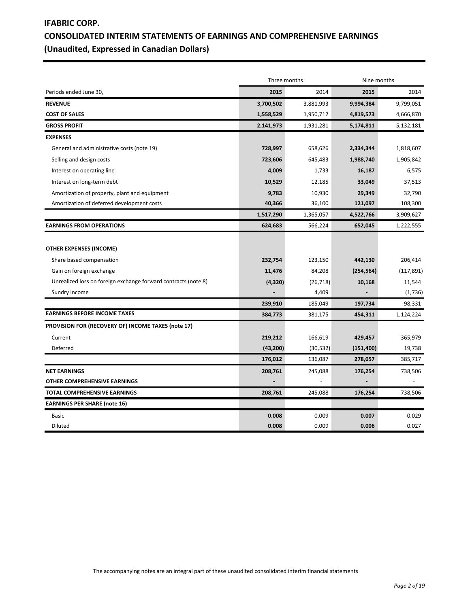# **IFABRIC CORP. CONSOLIDATED INTERIM STATEMENTS OF EARNINGS AND COMPREHENSIVE EARNINGS (Unaudited, Expressed in Canadian Dollars)**

|                                                                                                                                                                           | Three months                  |                                         | Nine months                     |                                            |  |
|---------------------------------------------------------------------------------------------------------------------------------------------------------------------------|-------------------------------|-----------------------------------------|---------------------------------|--------------------------------------------|--|
| Periods ended June 30,                                                                                                                                                    | 2015                          | 2014                                    | 2015                            | 2014                                       |  |
| <b>REVENUE</b>                                                                                                                                                            | 3,700,502                     | 3,881,993                               | 9,994,384                       | 9,799,051                                  |  |
| <b>COST OF SALES</b>                                                                                                                                                      | 1,558,529                     | 1,950,712                               | 4,819,573                       | 4,666,870                                  |  |
| <b>GROSS PROFIT</b>                                                                                                                                                       | 2,141,973                     | 1,931,281                               | 5,174,811                       | 5,132,181                                  |  |
| <b>EXPENSES</b>                                                                                                                                                           |                               |                                         |                                 |                                            |  |
| General and administrative costs (note 19)                                                                                                                                | 728,997                       | 658,626                                 | 2,334,344                       | 1,818,607                                  |  |
| Selling and design costs                                                                                                                                                  | 723,606                       | 645,483                                 | 1,988,740                       | 1,905,842                                  |  |
| Interest on operating line                                                                                                                                                | 4,009                         | 1,733                                   | 16,187                          | 6,575                                      |  |
| Interest on long-term debt                                                                                                                                                | 10,529                        | 12,185                                  | 33,049                          | 37,513                                     |  |
| Amortization of property, plant and equipment                                                                                                                             | 9,783                         | 10,930                                  | 29,349                          | 32,790                                     |  |
| Amortization of deferred development costs                                                                                                                                | 40,366                        | 36,100                                  | 121,097                         | 108,300                                    |  |
|                                                                                                                                                                           | 1,517,290                     | 1,365,057                               | 4,522,766                       | 3,909,627                                  |  |
| <b>EARNINGS FROM OPERATIONS</b>                                                                                                                                           | 624,683                       | 566,224                                 | 652,045                         | 1,222,555                                  |  |
| <b>OTHER EXPENSES (INCOME)</b><br>Share based compensation<br>Gain on foreign exchange<br>Unrealized loss on foreign exchange forward contracts (note 8)<br>Sundry income | 232,754<br>11,476<br>(4, 320) | 123,150<br>84,208<br>(26, 718)<br>4,409 | 442,130<br>(254, 564)<br>10,168 | 206,414<br>(117, 891)<br>11,544<br>(1,736) |  |
|                                                                                                                                                                           | 239,910                       | 185,049                                 | 197,734                         | 98,331                                     |  |
| <b>EARNINGS BEFORE INCOME TAXES</b>                                                                                                                                       | 384,773                       | 381,175                                 | 454,311                         | 1,124,224                                  |  |
| PROVISION FOR (RECOVERY OF) INCOME TAXES (note 17)                                                                                                                        |                               |                                         |                                 |                                            |  |
| Current                                                                                                                                                                   | 219,212                       | 166,619                                 | 429,457                         | 365,979                                    |  |
| Deferred                                                                                                                                                                  | (43, 200)                     | (30, 532)                               | (151, 400)                      | 19,738                                     |  |
|                                                                                                                                                                           | 176,012                       | 136,087                                 | 278,057                         | 385,717                                    |  |
| <b>NET EARNINGS</b>                                                                                                                                                       | 208,761                       | 245,088                                 | 176,254                         | 738,506                                    |  |
| OTHER COMPREHENSIVE EARNINGS                                                                                                                                              |                               |                                         |                                 |                                            |  |
| <b>TOTAL COMPREHENSIVE EARNINGS</b>                                                                                                                                       | 208,761                       | 245,088                                 | 176,254                         | 738,506                                    |  |
| <b>EARNINGS PER SHARE (note 16)</b>                                                                                                                                       |                               |                                         |                                 |                                            |  |
| <b>Basic</b>                                                                                                                                                              | 0.008                         | 0.009                                   | 0.007                           | 0.029                                      |  |
| Diluted                                                                                                                                                                   | 0.008                         | 0.009                                   | 0.006                           | 0.027                                      |  |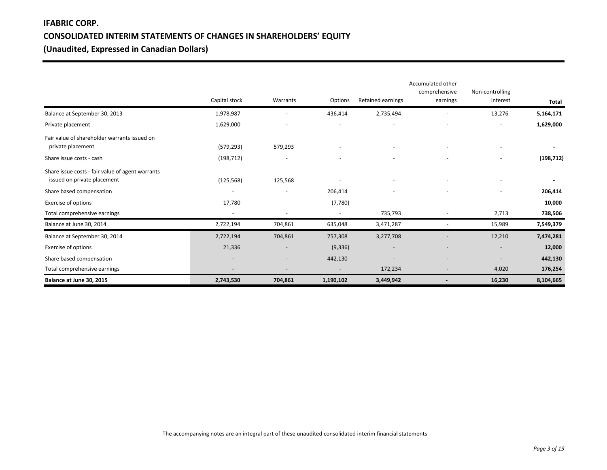# **IFABRIC CORP. CONSOLIDATED INTERIM STATEMENTS OF CHANGES IN SHAREHOLDERS' EQUITY (Unaudited, Expressed in Canadian Dollars)**

|                                                                                 |                          |                          |                          |                          | Accumulated other<br>comprehensive | Non-controlling          |            |
|---------------------------------------------------------------------------------|--------------------------|--------------------------|--------------------------|--------------------------|------------------------------------|--------------------------|------------|
|                                                                                 | Capital stock            | Warrants                 | Options                  | Retained earnings        | earnings                           | interest                 | Total      |
| Balance at September 30, 2013                                                   | 1,978,987                |                          | 436,414                  | 2,735,494                |                                    | 13,276                   | 5,164,171  |
| Private placement                                                               | 1,629,000                | $\overline{\phantom{a}}$ | $\overline{\phantom{a}}$ | $\overline{\phantom{a}}$ | ۰                                  | $\overline{\phantom{a}}$ | 1,629,000  |
| Fair value of shareholder warrants issued on<br>private placement               | (579, 293)               | 579,293                  |                          |                          |                                    |                          |            |
| Share issue costs - cash                                                        | (198, 712)               | $\overline{\phantom{a}}$ |                          |                          |                                    |                          | (198, 712) |
| Share issue costs - fair value of agent warrants<br>issued on private placement | (125, 568)               | 125,568                  |                          |                          |                                    | $\overline{\phantom{a}}$ |            |
| Share based compensation                                                        |                          | $\overline{\phantom{a}}$ | 206,414                  |                          |                                    |                          | 206,414    |
| <b>Exercise of options</b>                                                      | 17,780                   |                          | (7,780)                  |                          |                                    |                          | 10,000     |
| Total comprehensive earnings                                                    | $\overline{\phantom{a}}$ | $\overline{\phantom{a}}$ | $\overline{\phantom{a}}$ | 735,793                  | $\overline{\phantom{a}}$           | 2,713                    | 738,506    |
| Balance at June 30, 2014                                                        | 2,722,194                | 704,861                  | 635,048                  | 3,471,287                |                                    | 15,989                   | 7,549,379  |
| Balance at September 30, 2014                                                   | 2,722,194                | 704,861                  | 757,308                  | 3,277,708                |                                    | 12,210                   | 7,474,281  |
| Exercise of options                                                             | 21,336                   | $\overline{\phantom{a}}$ | (9, 336)                 |                          |                                    | $\overline{\phantom{a}}$ | 12,000     |
| Share based compensation                                                        | $\overline{\phantom{a}}$ | $\overline{\phantom{a}}$ | 442,130                  |                          |                                    |                          | 442,130    |
| Total comprehensive earnings                                                    |                          |                          |                          | 172,234                  |                                    | 4,020                    | 176,254    |
| Balance at June 30, 2015                                                        | 2,743,530                | 704,861                  | 1,190,102                | 3,449,942                |                                    | 16,230                   | 8,104,665  |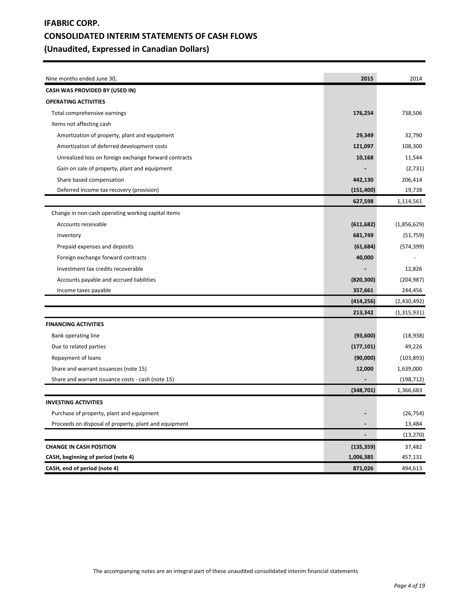# **IFABRIC CORP. CONSOLIDATED INTERIM STATEMENTS OF CASH FLOWS (Unaudited, Expressed in Canadian Dollars)**

| Nine months ended June 30,                            | 2015                     | 2014        |
|-------------------------------------------------------|--------------------------|-------------|
| CASH WAS PROVIDED BY (USED IN)                        |                          |             |
| <b>OPERATING ACTIVITIES</b>                           |                          |             |
| Total comprehensive earnings                          | 176,254                  | 738,506     |
| Items not affecting cash                              |                          |             |
| Amortization of property, plant and equipment         | 29,349                   | 32,790      |
| Amortization of deferred development costs            | 121,097                  | 108,300     |
| Unrealized loss on foreign exchange forward contracts | 10,168                   | 11,544      |
| Gain on sale of property, plant and equipment         |                          | (2,731)     |
| Share based compensation                              | 442,130                  | 206,414     |
| Deferred income tax recovery (provision)              | (151, 400)               | 19,738      |
|                                                       | 627,598                  | 1,114,561   |
| Change in non-cash operating working capital items    |                          |             |
| Accounts receivable                                   | (611, 682)               | (1,856,629) |
| Inventory                                             | 681,749                  | (51, 759)   |
| Prepaid expenses and deposits                         | (61, 684)                | (574, 399)  |
| Foreign exchange forward contracts                    | 40,000                   |             |
| Investment tax credits recoverable                    |                          | 12,826      |
| Accounts payable and accrued liabilities              | (820, 300)               | (204, 987)  |
| Income taxes payable                                  | 357,661                  | 244,456     |
|                                                       | (414, 256)               | (2,430,492) |
|                                                       | 213,342                  | (1,315,931) |
| <b>FINANCING ACTIVITIES</b>                           |                          |             |
| Bank operating line                                   | (93,600)                 | (18, 938)   |
| Due to related parties                                | (177, 101)               | 49,226      |
| Repayment of loans                                    | (90,000)                 | (103, 893)  |
| Share and warrant issuances (note 15)                 | 12,000                   | 1,639,000   |
| Share and warrant issuance costs - cash (note 15)     |                          | (198, 712)  |
|                                                       | (348, 701)               | 1,366,683   |
| <b>INVESTING ACTIVITIES</b>                           |                          |             |
| Purchase of property, plant and equipment             |                          | (26, 754)   |
| Proceeds on disposal of property, plant and equipment | -                        | 13,484      |
|                                                       | $\overline{\phantom{0}}$ | (13, 270)   |
| <b>CHANGE IN CASH POSITION</b>                        | (135, 359)               | 37,482      |
| CASH, beginning of period (note 4)                    | 1,006,385                | 457,131     |
| CASH, end of period (note 4)                          | 871,026                  | 494,613     |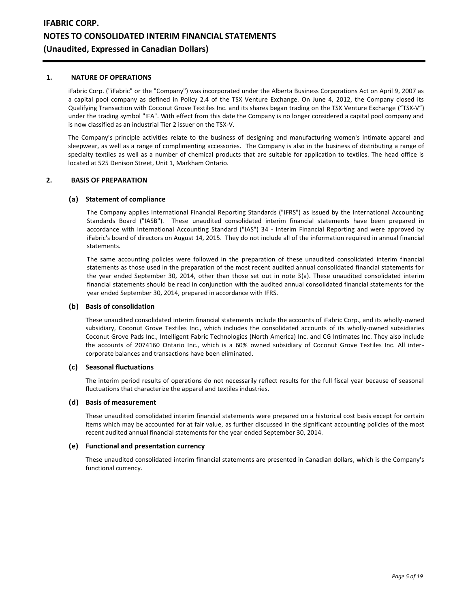#### **1. NATURE OF OPERATIONS**

iFabric Corp. ("iFabric" or the "Company") was incorporated under the Alberta Business Corporations Act on April 9, 2007 as a capital pool company as defined in Policy 2.4 of the TSX Venture Exchange. On June 4, 2012, the Company closed its Qualifying Transaction with Coconut Grove Textiles Inc. and its shares began trading on the TSX Venture Exchange ("TSX-V") under the trading symbol "IFA". With effect from this date the Company is no longer considered a capital pool company and is now classified as an industrial Tier 2 issuer on the TSX-V.

The Company's principle activities relate to the business of designing and manufacturing women's intimate apparel and sleepwear, as well as a range of complimenting accessories. The Company is also in the business of distributing a range of specialty textiles as well as a number of chemical products that are suitable for application to textiles. The head office is located at 525 Denison Street, Unit 1, Markham Ontario.

#### **2. BASIS OF PREPARATION**

#### **(a) Statement of compliance**

The Company applies International Financial Reporting Standards ("IFRS") as issued by the International Accounting Standards Board ("IASB"). These unaudited consolidated interim financial statements have been prepared in accordance with International Accounting Standard ("IAS") 34 - Interim Financial Reporting and were approved by iFabric's board of directors on August 14, 2015. They do not include all of the information required in annual financial statements.

The same accounting policies were followed in the preparation of these unaudited consolidated interim financial statements as those used in the preparation of the most recent audited annual consolidated financial statements for the year ended September 30, 2014, other than those set out in note 3(a). These unaudited consolidated interim financial statements should be read in conjunction with the audited annual consolidated financial statements for the year ended September 30, 2014, prepared in accordance with IFRS.

#### **(b) Basis of consolidation**

These unaudited consolidated interim financial statements include the accounts of iFabric Corp., and its wholly-owned subsidiary, Coconut Grove Textiles Inc., which includes the consolidated accounts of its wholly-owned subsidiaries Coconut Grove Pads Inc., Intelligent Fabric Technologies (North America) Inc. and CG Intimates Inc. They also include the accounts of 2074160 Ontario Inc., which is a 60% owned subsidiary of Coconut Grove Textiles Inc. All intercorporate balances and transactions have been eliminated.

#### **(c) Seasonal fluctuations**

The interim period results of operations do not necessarily reflect results for the full fiscal year because of seasonal fluctuations that characterize the apparel and textiles industries.

#### **(d) Basis of measurement**

These unaudited consolidated interim financial statements were prepared on a historical cost basis except for certain items which may be accounted for at fair value, as further discussed in the significant accounting policies of the most recent audited annual financial statements for the year ended September 30, 2014.

#### **(e) Functional and presentation currency**

These unaudited consolidated interim financial statements are presented in Canadian dollars, which is the Company's functional currency.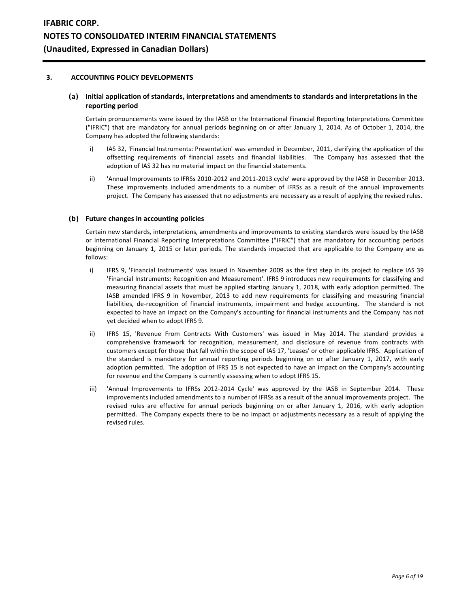#### **3. ACCOUNTING POLICY DEVELOPMENTS**

## **(a) Initial application of standards, interpretations and amendments to standards and interpretations in the reporting period**

Certain pronouncements were issued by the IASB or the International Financial Reporting Interpretations Committee ("IFRIC") that are mandatory for annual periods beginning on or after January 1, 2014. As of October 1, 2014, the Company has adopted the following standards:

- i) IAS 32, 'Financial Instruments: Presentation' was amended in December, 2011, clarifying the application of the offsetting requirements of financial assets and financial liabilities. The Company has assessed that the adoption of IAS 32 has no material impact on the financial statements.
- ii) 'Annual Improvements to IFRSs 2010-2012 and 2011-2013 cycle' were approved by the IASB in December 2013. These improvements included amendments to a number of IFRSs as a result of the annual improvements project. The Company has assessed that no adjustments are necessary as a result of applying the revised rules.

## **(b) Future changes in accounting policies**

Certain new standards, interpretations, amendments and improvements to existing standards were issued by the IASB or International Financial Reporting Interpretations Committee ("IFRIC") that are mandatory for accounting periods beginning on January 1, 2015 or later periods. The standards impacted that are applicable to the Company are as follows:

- i) IFRS 9, 'Financial Instruments' was issued in November 2009 as the first step in its project to replace IAS 39 'Financial Instruments: Recognition and Measurement'. IFRS 9 introduces new requirements for classifying and measuring financial assets that must be applied starting January 1, 2018, with early adoption permitted. The IASB amended IFRS 9 in November, 2013 to add new requirements for classifying and measuring financial liabilities, de-recognition of financial instruments, impairment and hedge accounting. The standard is not expected to have an impact on the Company's accounting for financial instruments and the Company has not yet decided when to adopt IFRS 9.
- ii) IFRS 15, 'Revenue From Contracts With Customers' was issued in May 2014. The standard provides a comprehensive framework for recognition, measurement, and disclosure of revenue from contracts with customers except for those that fall within the scope of IAS 17, 'Leases' or other applicable IFRS. Application of the standard is mandatory for annual reporting periods beginning on or after January 1, 2017, with early adoption permitted. The adoption of IFRS 15 is not expected to have an impact on the Company's accounting for revenue and the Company is currently assessing when to adopt IFRS 15.
- iii) 'Annual Improvements to IFRSs 2012-2014 Cycle' was approved by the IASB in September 2014. These improvements included amendments to a number of IFRSs as a result of the annual improvements project. The revised rules are effective for annual periods beginning on or after January 1, 2016, with early adoption permitted. The Company expects there to be no impact or adjustments necessary as a result of applying the revised rules.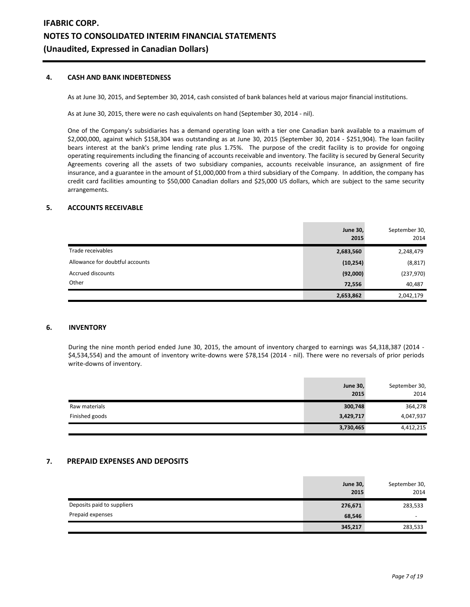# **4. CASH AND BANK INDEBTEDNESS**

As at June 30, 2015, and September 30, 2014, cash consisted of bank balances held at various major financial institutions.

As at June 30, 2015, there were no cash equivalents on hand (September 30, 2014 - nil).

One of the Company's subsidiaries has a demand operating loan with a tier one Canadian bank available to a maximum of \$2,000,000, against which \$158,304 was outstanding as at June 30, 2015 (September 30, 2014 - \$251,904). The loan facility bears interest at the bank's prime lending rate plus 1.75%. The purpose of the credit facility is to provide for ongoing operating requirements including the financing of accounts receivable and inventory. The facility is secured by General Security Agreements covering all the assets of two subsidiary companies, accounts receivable insurance, an assignment of fire insurance, and a guarantee in the amount of \$1,000,000 from a third subsidiary of the Company. In addition, the company has credit card facilities amounting to \$50,000 Canadian dollars and \$25,000 US dollars, which are subject to the same security arrangements.

### **5. ACCOUNTS RECEIVABLE**

|                                 | <b>June 30,</b><br>2015 | September 30,<br>2014 |
|---------------------------------|-------------------------|-----------------------|
| Trade receivables               | 2,683,560               | 2,248,479             |
| Allowance for doubtful accounts | (10, 254)               | (8, 817)              |
| Accrued discounts               | (92,000)                | (237,970)             |
| Other                           | 72,556                  | 40,487                |
|                                 | 2,653,862               | 2,042,179             |

#### **6. INVENTORY**

During the nine month period ended June 30, 2015, the amount of inventory charged to earnings was \$4,318,387 (2014 - \$4,534,554) and the amount of inventory write-downs were \$78,154 (2014 - nil). There were no reversals of prior periods write-downs of inventory.

|                | <b>June 30,</b><br>2015 | September 30,<br>2014 |
|----------------|-------------------------|-----------------------|
| Raw materials  | 300,748                 | 364,278               |
| Finished goods | 3,429,717               | 4,047,937             |
|                | 3,730,465               | 4,412,215             |

# **7. PREPAID EXPENSES AND DEPOSITS**

|                            | <b>June 30,</b><br>2015 | September 30,<br>2014    |
|----------------------------|-------------------------|--------------------------|
| Deposits paid to suppliers | 276,671                 | 283,533                  |
| Prepaid expenses           | 68,546                  | $\overline{\phantom{0}}$ |
|                            | 345,217                 | 283,533                  |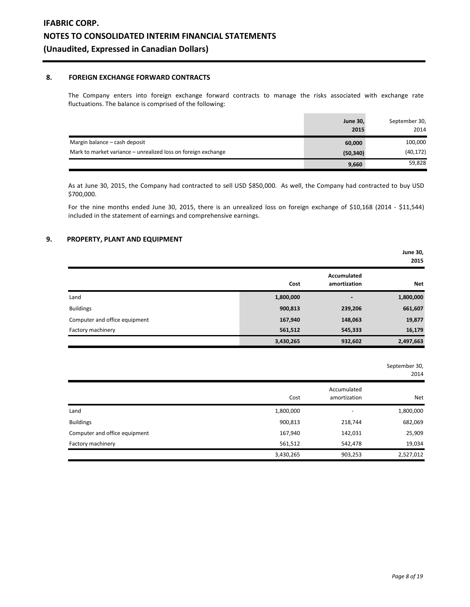## **8. FOREIGN EXCHANGE FORWARD CONTRACTS**

The Company enters into foreign exchange forward contracts to manage the risks associated with exchange rate fluctuations. The balance is comprised of the following:

|                                                               | <b>June 30,</b><br>2015 | September 30,<br>2014 |
|---------------------------------------------------------------|-------------------------|-----------------------|
| Margin balance - cash deposit                                 | 60,000                  | 100,000               |
| Mark to market variance – unrealized loss on foreign exchange | (50, 340)               | (40, 172)             |
|                                                               | 9,660                   | 59,828                |

As at June 30, 2015, the Company had contracted to sell USD \$850,000. As well, the Company had contracted to buy USD \$700,000.

For the nine months ended June 30, 2015, there is an unrealized loss on foreign exchange of \$10,168 (2014 - \$11,544) included in the statement of earnings and comprehensive earnings.

# **9. PROPERTY, PLANT AND EQUIPMENT**

|                               |           |                             | <b>June 30,</b><br>2015 |
|-------------------------------|-----------|-----------------------------|-------------------------|
|                               | Cost      | Accumulated<br>amortization | <b>Net</b>              |
| Land                          | 1,800,000 | -                           | 1,800,000               |
| <b>Buildings</b>              | 900,813   | 239,206                     | 661,607                 |
| Computer and office equipment | 167,940   | 148,063                     | 19,877                  |
| Factory machinery             | 561,512   | 545,333                     | 16,179                  |
|                               | 3,430,265 | 932,602                     | 2,497,663               |

September 30,

2014

|                               | Cost      | Accumulated<br>amortization | Net       |
|-------------------------------|-----------|-----------------------------|-----------|
| Land                          | 1,800,000 | $\overline{\phantom{a}}$    | 1,800,000 |
| <b>Buildings</b>              | 900,813   | 218,744                     | 682,069   |
| Computer and office equipment | 167,940   | 142,031                     | 25,909    |
| Factory machinery             | 561,512   | 542,478                     | 19,034    |
|                               | 3,430,265 | 903,253                     | 2,527,012 |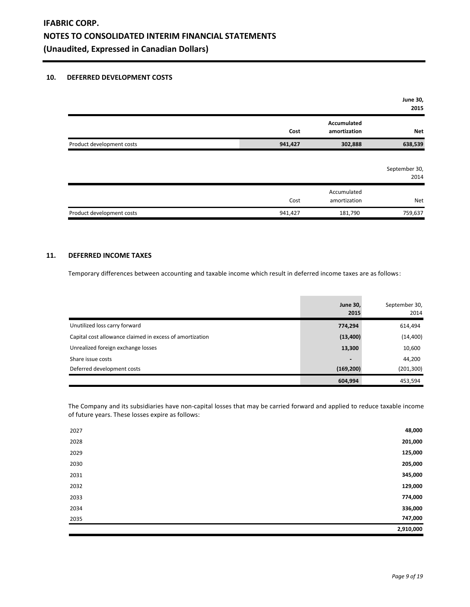### **10. DEFERRED DEVELOPMENT COSTS**

|                           |         |                                    | June 30,<br>2015      |
|---------------------------|---------|------------------------------------|-----------------------|
|                           | Cost    | <b>Accumulated</b><br>amortization | Net                   |
| Product development costs | 941,427 | 302,888                            | 638,539               |
|                           |         |                                    | September 30,<br>2014 |
|                           | Cost    | Accumulated<br>amortization        | Net                   |
| Product development costs | 941,427 | 181,790                            | 759,637               |

## **11. DEFERRED INCOME TAXES**

Temporary differences between accounting and taxable income which result in deferred income taxes are as follows:

|                                                          | <b>June 30,</b><br>2015  | September 30,<br>2014 |
|----------------------------------------------------------|--------------------------|-----------------------|
| Unutilized loss carry forward                            | 774,294                  | 614,494               |
| Capital cost allowance claimed in excess of amortization | (13, 400)                | (14, 400)             |
| Unrealized foreign exchange losses                       | 13,300                   | 10,600                |
| Share issue costs                                        | $\overline{\phantom{0}}$ | 44,200                |
| Deferred development costs                               | (169, 200)               | (201, 300)            |
|                                                          | 604,994                  | 453,594               |

and the control of the control of

The Company and its subsidiaries have non-capital losses that may be carried forward and applied to reduce taxable income of future years. These losses expire as follows:

| 2027 | 48,000    |
|------|-----------|
| 2028 | 201,000   |
| 2029 | 125,000   |
| 2030 | 205,000   |
| 2031 | 345,000   |
| 2032 | 129,000   |
| 2033 | 774,000   |
| 2034 | 336,000   |
| 2035 | 747,000   |
|      | 2,910,000 |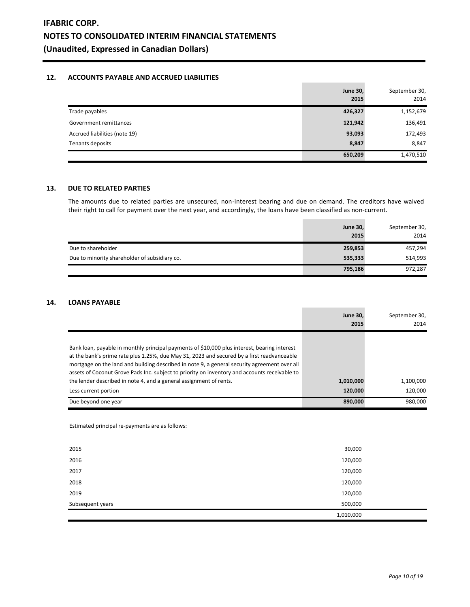# **12. ACCOUNTS PAYABLE AND ACCRUED LIABILITIES**

|                               | <b>June 30,</b><br>2015 | September 30,<br>2014 |
|-------------------------------|-------------------------|-----------------------|
| Trade payables                | 426,327                 | 1,152,679             |
| Government remittances        | 121,942                 | 136,491               |
| Accrued liabilities (note 19) | 93,093                  | 172,493               |
| Tenants deposits              | 8,847                   | 8,847                 |
|                               | 650,209                 | 1,470,510             |

## **13. DUE TO RELATED PARTIES**

The amounts due to related parties are unsecured, non-interest bearing and due on demand. The creditors have waived their right to call for payment over the next year, and accordingly, the loans have been classified as non-current.

 $\sim$ 

|                                               | <b>June 30,</b><br>2015 | September 30,<br>2014 |
|-----------------------------------------------|-------------------------|-----------------------|
| Due to shareholder                            | 259,853                 | 457,294               |
| Due to minority shareholder of subsidiary co. | 535,333                 | 514,993               |
|                                               | 795,186                 | 972,287               |

# **14. LOANS PAYABLE**

|                                                                                                                                                                                                                                                                                                                                                                                                                                                                   | <b>June 30.</b><br>2015 | September 30,<br>2014 |
|-------------------------------------------------------------------------------------------------------------------------------------------------------------------------------------------------------------------------------------------------------------------------------------------------------------------------------------------------------------------------------------------------------------------------------------------------------------------|-------------------------|-----------------------|
| Bank loan, payable in monthly principal payments of \$10,000 plus interest, bearing interest<br>at the bank's prime rate plus 1.25%, due May 31, 2023 and secured by a first readvanceable<br>mortgage on the land and building described in note 9, a general security agreement over all<br>assets of Coconut Grove Pads Inc. subject to priority on inventory and accounts receivable to<br>the lender described in note 4, and a general assignment of rents. | 1,010,000               | 1,100,000             |
| Less current portion                                                                                                                                                                                                                                                                                                                                                                                                                                              | 120,000                 | 120.000               |
| Due beyond one year                                                                                                                                                                                                                                                                                                                                                                                                                                               | 890,000                 | 980,000               |

Estimated principal re-payments are as follows:

|                  | 1,010,000 |  |
|------------------|-----------|--|
| Subsequent years | 500,000   |  |
| 2019             | 120,000   |  |
| 2018             | 120,000   |  |
| 2017             | 120,000   |  |
| 2016             | 120,000   |  |
| 2015             | 30,000    |  |
|                  |           |  |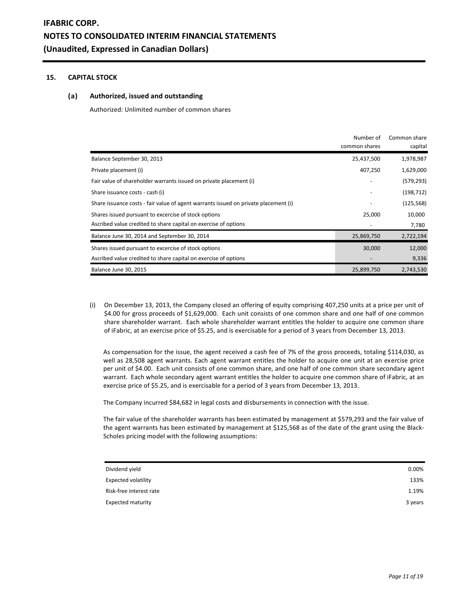## **15. CAPITAL STOCK**

### **(a) Authorized, issued and outstanding**

Authorized: Unlimited number of common shares

|                                                                                     | Number of<br>common shares | Common share<br>capital |
|-------------------------------------------------------------------------------------|----------------------------|-------------------------|
| Balance September 30, 2013                                                          | 25,437,500                 | 1,978,987               |
| Private placement (i)                                                               | 407,250                    | 1,629,000               |
| Fair value of shareholder warrants issued on private placement (i)                  |                            | (579, 293)              |
| Share issuance costs - cash (i)                                                     |                            | (198, 712)              |
| Share issuance costs - fair value of agent warrants issued on private placement (i) |                            | (125, 568)              |
| Shares issued pursuant to excercise of stock options                                | 25,000                     | 10,000                  |
| Ascribed value credited to share capital on exercise of options                     |                            | 7,780                   |
| Balance June 30, 2014 and September 30, 2014                                        | 25,869,750                 | 2,722,194               |
| Shares issued pursuant to excercise of stock options                                | 30,000                     | 12,000                  |
| Ascribed value credited to share capital on exercise of options                     |                            | 9,336                   |
| Balance June 30, 2015                                                               | 25,899,750                 | 2,743,530               |

(i) On December 13, 2013, the Company closed an offering of equity comprising 407,250 units at a price per unit of \$4.00 for gross proceeds of \$1,629,000. Each unit consists of one common share and one half of one common share shareholder warrant. Each whole shareholder warrant entitles the holder to acquire one common share of iFabric, at an exercise price of \$5.25, and is exercisable for a period of 3 years from December 13, 2013.

As compensation for the issue, the agent received a cash fee of 7% of the gross proceeds, totaling \$114,030, as well as 28,508 agent warrants. Each agent warrant entitles the holder to acquire one unit at an exercise price per unit of \$4.00. Each unit consists of one common share, and one half of one common share secondary agent warrant. Each whole secondary agent warrant entitles the holder to acquire one common share of iFabric, at an exercise price of \$5.25, and is exercisable for a period of 3 years from December 13, 2013.

The Company incurred \$84,682 in legal costs and disbursements in connection with the issue.

The fair value of the shareholder warrants has been estimated by management at \$579,293 and the fair value of the agent warrants has been estimated by management at \$125,568 as of the date of the grant using the Black-Scholes pricing model with the following assumptions:

| 0.00%   |
|---------|
| 133%    |
| 1.19%   |
| 3 years |
|         |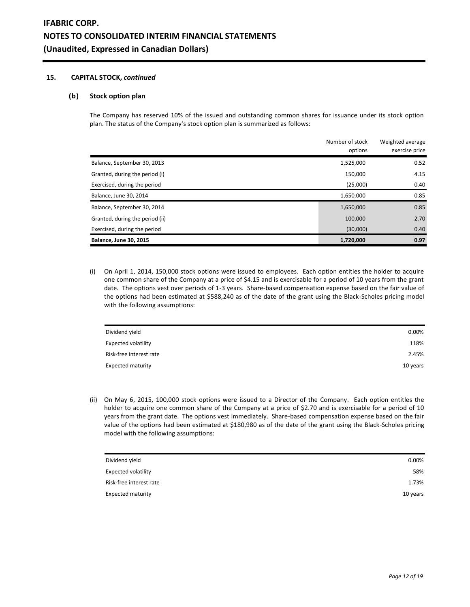### **15. CAPITAL STOCK,** *continued*

#### **(b) Stock option plan**

The Company has reserved 10% of the issued and outstanding common shares for issuance under its stock option plan. The status of the Company's stock option plan is summarized as follows:

|                                 | Number of stock<br>options | Weighted average<br>exercise price |
|---------------------------------|----------------------------|------------------------------------|
| Balance, September 30, 2013     | 1,525,000                  | 0.52                               |
| Granted, during the period (i)  | 150,000                    | 4.15                               |
| Exercised, during the period    | (25,000)                   | 0.40                               |
| Balance, June 30, 2014          | 1,650,000                  | 0.85                               |
| Balance, September 30, 2014     | 1,650,000                  | 0.85                               |
| Granted, during the period (ii) | 100,000                    | 2.70                               |
| Exercised, during the period    | (30,000)                   | 0.40                               |
| <b>Balance, June 30, 2015</b>   | 1,720,000                  | 0.97                               |

(i) On April 1, 2014, 150,000 stock options were issued to employees. Each option entitles the holder to acquire one common share of the Company at a price of \$4.15 and is exercisable for a period of 10 years from the grant date. The options vest over periods of 1-3 years. Share-based compensation expense based on the fair value of the options had been estimated at \$588,240 as of the date of the grant using the Black-Scholes pricing model with the following assumptions:

| Dividend yield           | 0.00%    |
|--------------------------|----------|
| Expected volatility      | 118%     |
| Risk-free interest rate  | 2.45%    |
| <b>Expected maturity</b> | 10 years |

(ii) On May 6, 2015, 100,000 stock options were issued to a Director of the Company. Each option entitles the holder to acquire one common share of the Company at a price of \$2.70 and is exercisable for a period of 10 years from the grant date. The options vest immediately. Share-based compensation expense based on the fair value of the options had been estimated at \$180,980 as of the date of the grant using the Black-Scholes pricing model with the following assumptions:

| Dividend yield           | 0.00%    |
|--------------------------|----------|
| Expected volatility      | 58%      |
| Risk-free interest rate  | 1.73%    |
| <b>Expected maturity</b> | 10 years |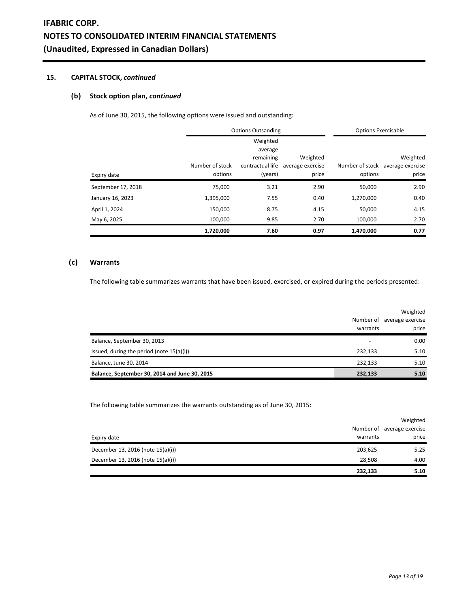# **IFABRIC CORP. NOTES TO CONSOLIDATED INTERIM FINANCIAL STATEMENTS (Unaudited, Expressed in Canadian Dollars)**

## **15. CAPITAL STOCK,** *continued*

## **(b) Stock option plan,** *continued*

As of June 30, 2015, the following options were issued and outstanding:

|                    | <b>Options Outsanding</b> |                                                      |                              | <b>Options Exercisable</b> |                                              |
|--------------------|---------------------------|------------------------------------------------------|------------------------------|----------------------------|----------------------------------------------|
|                    | Number of stock           | Weighted<br>average<br>remaining<br>contractual life | Weighted<br>average exercise |                            | Weighted<br>Number of stock average exercise |
| Expiry date        | options                   | (years)                                              | price                        | options                    | price                                        |
| September 17, 2018 | 75,000                    | 3.21                                                 | 2.90                         | 50,000                     | 2.90                                         |
| January 16, 2023   | 1,395,000                 | 7.55                                                 | 0.40                         | 1,270,000                  | 0.40                                         |
| April 1, 2024      | 150,000                   | 8.75                                                 | 4.15                         | 50,000                     | 4.15                                         |
| May 6, 2025        | 100,000                   | 9.85                                                 | 2.70                         | 100,000                    | 2.70                                         |
|                    | 1,720,000                 | 7.60                                                 | 0.97                         | 1,470,000                  | 0.77                                         |

# **(c) Warrants**

The following table summarizes warrants that have been issued, exercised, or expired during the periods presented:

|                                               |          | Weighted                   |
|-----------------------------------------------|----------|----------------------------|
|                                               |          | Number of average exercise |
|                                               | warrants | price                      |
| Balance, September 30, 2013                   |          | 0.00                       |
| Issued, during the period (note 15(a)(i))     | 232,133  | 5.10                       |
| Balance, June 30, 2014                        | 232,133  | 5.10                       |
| Balance, September 30, 2014 and June 30, 2015 | 232,133  | 5.10                       |

The following table summarizes the warrants outstanding as of June 30, 2015:

| 232,133                                      | 5.10                       |
|----------------------------------------------|----------------------------|
| December 13, 2016 (note 15(a)(i))<br>28,508  | 4.00                       |
| December 13, 2016 (note 15(a)(i))<br>203,625 | 5.25                       |
| warrants<br>Expiry date                      | price                      |
|                                              | Number of average exercise |
|                                              | Weighted                   |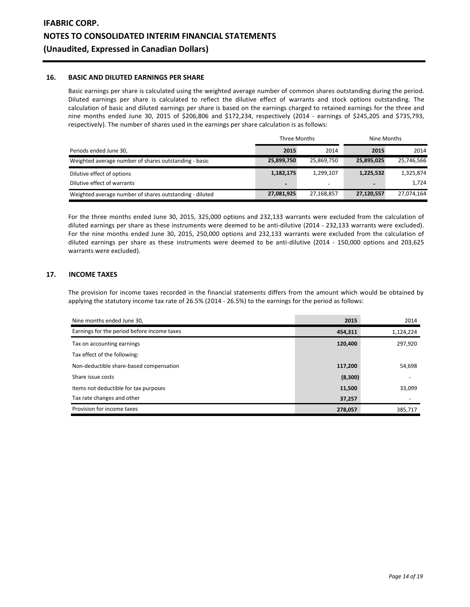#### **16. BASIC AND DILUTED EARNINGS PER SHARE**

Basic earnings per share is calculated using the weighted average number of common shares outstanding during the period. Diluted earnings per share is calculated to reflect the dilutive effect of warrants and stock options outstanding. The calculation of basic and diluted earnings per share is based on the earnings charged to retained earnings for the three and nine months ended June 30, 2015 of \$206,806 and \$172,234, respectively (2014 - earnings of \$245,205 and \$735,793, respectively). The number of shares used in the earnings per share calculation is as follows:

|                                                         | Three Months   |                          | Nine Months              |            |
|---------------------------------------------------------|----------------|--------------------------|--------------------------|------------|
| Periods ended June 30,                                  | 2015           | 2014                     | 2015                     | 2014       |
| Weighted average number of shares outstanding - basic   | 25,899,750     | 25,869,750               | 25,895,025               | 25,746,566 |
| Dilutive effect of options                              | 1,182,175      | 1.299.107                | 1,225,532                | 1,325,874  |
| Dilutive effect of warrants                             | $\blacksquare$ | $\overline{\phantom{0}}$ | $\overline{\phantom{0}}$ | 1,724      |
| Weighted average number of shares outstanding - diluted | 27,081,925     | 27,168,857               | 27,120,557               | 27,074,164 |

For the three months ended June 30, 2015, 325,000 options and 232,133 warrants were excluded from the calculation of diluted earnings per share as these instruments were deemed to be anti-dilutive (2014 - 232,133 warrants were excluded). For the nine months ended June 30, 2015, 250,000 options and 232,133 warrants were excluded from the calculation of diluted earnings per share as these instruments were deemed to be anti-dilutive (2014 - 150,000 options and 203,625 warrants were excluded).

# **17. INCOME TAXES**

The provision for income taxes recorded in the financial statements differs from the amount which would be obtained by applying the statutory income tax rate of 26.5% (2014 - 26.5%) to the earnings for the period as follows:

| Nine months ended June 30,                  | 2015     | 2014                     |
|---------------------------------------------|----------|--------------------------|
| Earnings for the period before income taxes | 454,311  | 1,124,224                |
| Tax on accounting earnings                  | 120,400  | 297,920                  |
| Tax effect of the following:                |          |                          |
| Non-deductible share-based compensation     | 117,200  | 54,698                   |
| Share issue costs                           | (8, 300) |                          |
| Items not deductible for tax purposes       | 11,500   | 33,099                   |
| Tax rate changes and other                  | 37,257   | $\overline{\phantom{0}}$ |
| Provision for income taxes                  | 278,057  | 385,717                  |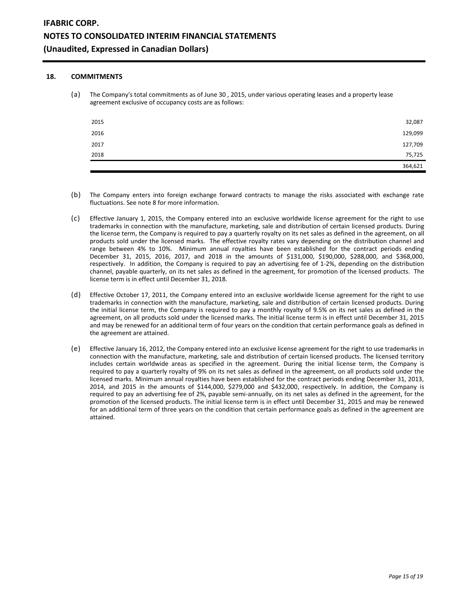## **18. COMMITMENTS**

(a) The Company's total commitments as of June 30 , 2015, under various operating leases and a property lease agreement exclusive of occupancy costs are as follows:

| 2015 | 32,087  |
|------|---------|
| 2016 | 129,099 |
| 2017 | 127,709 |
| 2018 | 75,725  |
|      | 364,621 |

- (b) The Company enters into foreign exchange forward contracts to manage the risks associated with exchange rate fluctuations. See note 8 for more information.
- (c) Effective January 1, 2015, the Company entered into an exclusive worldwide license agreement for the right to use trademarks in connection with the manufacture, marketing, sale and distribution of certain licensed products. During the license term, the Company is required to pay a quarterly royalty on its net sales as defined in the agreement, on all products sold under the licensed marks. The effective royalty rates vary depending on the distribution channel and range between 4% to 10%. Minimum annual royalties have been established for the contract periods ending December 31, 2015, 2016, 2017, and 2018 in the amounts of \$131,000, \$190,000, \$288,000, and \$368,000, respectively. In addition, the Company is required to pay an advertising fee of 1-2%, depending on the distribution channel, payable quarterly, on its net sales as defined in the agreement, for promotion of the licensed products. The license term is in effect until December 31, 2018.
- (d) Effective October 17, 2011, the Company entered into an exclusive worldwide license agreement for the right to use trademarks in connection with the manufacture, marketing, sale and distribution of certain licensed products. During the initial license term, the Company is required to pay a monthly royalty of 9.5% on its net sales as defined in the agreement, on all products sold under the licensed marks. The initial license term is in effect until December 31, 2015 and may be renewed for an additional term of four years on the condition that certain performance goals as defined in the agreement are attained.
- (e) Effective January 16, 2012, the Company entered into an exclusive license agreement for the right to use trademarks in connection with the manufacture, marketing, sale and distribution of certain licensed products. The licensed territory includes certain worldwide areas as specified in the agreement. During the initial license term, the Company is required to pay a quarterly royalty of 9% on its net sales as defined in the agreement, on all products sold under the licensed marks. Minimum annual royalties have been established for the contract periods ending December 31, 2013, 2014, and 2015 in the amounts of \$144,000, \$279,000 and \$432,000, respectively. In addition, the Company is required to pay an advertising fee of 2%, payable semi-annually, on its net sales as defined in the agreement, for the promotion of the licensed products. The initial license term is in effect until December 31, 2015 and may be renewed for an additional term of three years on the condition that certain performance goals as defined in the agreement are attained.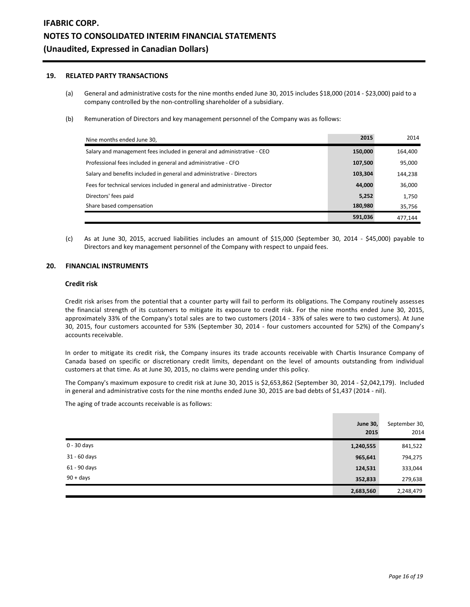# **19. RELATED PARTY TRANSACTIONS**

- (a) General and administrative costs for the nine months ended June 30, 2015 includes \$18,000 (2014 \$23,000) paid to a company controlled by the non-controlling shareholder of a subsidiary.
- (b) Remuneration of Directors and key management personnel of the Company was as follows:

| Nine months ended June 30,                                                    | 2015    | 2014    |
|-------------------------------------------------------------------------------|---------|---------|
| Salary and management fees included in general and administrative - CEO       | 150,000 | 164,400 |
| Professional fees included in general and administrative - CFO                | 107,500 | 95,000  |
| Salary and benefits included in general and administrative - Directors        | 103,304 | 144,238 |
| Fees for technical services included in general and administrative - Director | 44,000  | 36,000  |
| Directors' fees paid                                                          | 5,252   | 1,750   |
| Share based compensation                                                      | 180,980 | 35,756  |
|                                                                               | 591.036 | 477.144 |

(c) As at June 30, 2015, accrued liabilities includes an amount of \$15,000 (September 30, 2014 - \$45,000) payable to Directors and key management personnel of the Company with respect to unpaid fees.

#### **20. FINANCIAL INSTRUMENTS**

#### **Credit risk**

Credit risk arises from the potential that a counter party will fail to perform its obligations. The Company routinely assesses the financial strength of its customers to mitigate its exposure to credit risk. For the nine months ended June 30, 2015, approximately 33% of the Company's total sales are to two customers (2014 - 33% of sales were to two customers). At June 30, 2015, four customers accounted for 53% (September 30, 2014 - four customers accounted for 52%) of the Company's accounts receivable.

In order to mitigate its credit risk, the Company insures its trade accounts receivable with Chartis Insurance Company of Canada based on specific or discretionary credit limits, dependant on the level of amounts outstanding from individual customers at that time. As at June 30, 2015, no claims were pending under this policy.

The Company's maximum exposure to credit risk at June 30, 2015 is \$2,653,862 (September 30, 2014 - \$2,042,179). Included in general and administrative costs for the nine months ended June 30, 2015 are bad debts of \$1,437 (2014 - nil).

The aging of trade accounts receivable is as follows:

|               | <b>June 30,</b><br>2015 | September 30,<br>2014 |
|---------------|-------------------------|-----------------------|
| $0 - 30$ days | 1,240,555               | 841,522               |
| 31 - 60 days  | 965,641                 | 794,275               |
| 61 - 90 days  | 124,531                 | 333,044               |
| $90 + days$   | 352,833                 | 279,638               |
|               | 2,683,560               | 2,248,479             |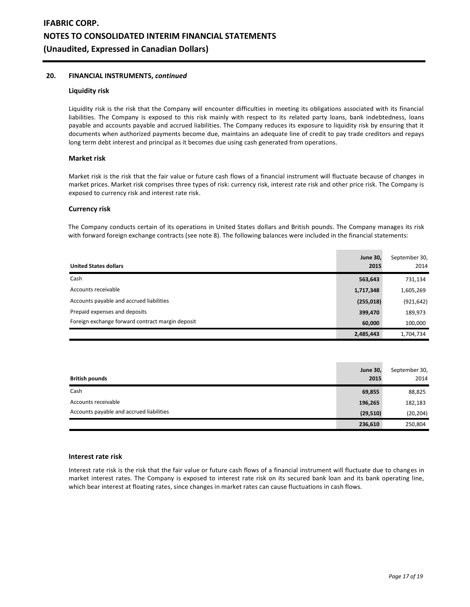# **20. FINANCIAL INSTRUMENTS,** *continued*

#### **Liquidity risk**

Liquidity risk is the risk that the Company will encounter difficulties in meeting its obligations associated with its financial liabilities. The Company is exposed to this risk mainly with respect to its related party loans, bank indebtedness, loans payable and accounts payable and accrued liabilities. The Company reduces its exposure to liquidity risk by ensuring that it documents when authorized payments become due, maintains an adequate line of credit to pay trade creditors and repays long term debt interest and principal as it becomes due using cash generated from operations.

#### **Market risk**

Market risk is the risk that the fair value or future cash flows of a financial instrument will fluctuate because of changes in market prices. Market risk comprises three types of risk: currency risk, interest rate risk and other price risk. The Company is exposed to currency risk and interest rate risk.

#### **Currency risk**

The Company conducts certain of its operations in United States dollars and British pounds. The Company manages its risk with forward foreign exchange contracts (see note 8). The following balances were included in the financial statements:

| <b>United States dollars</b>                     | <b>June 30,</b><br>2015 | September 30,<br>2014 |
|--------------------------------------------------|-------------------------|-----------------------|
| Cash                                             | 563,643                 | 731,134               |
| Accounts receivable                              | 1,717,348               | 1,605,269             |
| Accounts payable and accrued liabilities         | (255, 018)              | (921, 642)            |
| Prepaid expenses and deposits                    | 399,470                 | 189,973               |
| Foreign exchange forward contract margin deposit | 60,000                  | 100,000               |
|                                                  | 2,485,443               | 1,704,734             |

| <b>British pounds</b>                    | <b>June 30,</b><br>2015 | September 30,<br>2014 |
|------------------------------------------|-------------------------|-----------------------|
| Cash                                     | 69,855                  | 88,825                |
| Accounts receivable                      | 196,265                 | 182,183               |
| Accounts payable and accrued liabilities | (29, 510)               | (20, 204)             |
|                                          | 236,610                 | 250,804               |

#### **Interest rate risk**

Interest rate risk is the risk that the fair value or future cash flows of a financial instrument will fluctuate due to changes in market interest rates. The Company is exposed to interest rate risk on its secured bank loan and its bank operating line, which bear interest at floating rates, since changes in market rates can cause fluctuations in cash flows.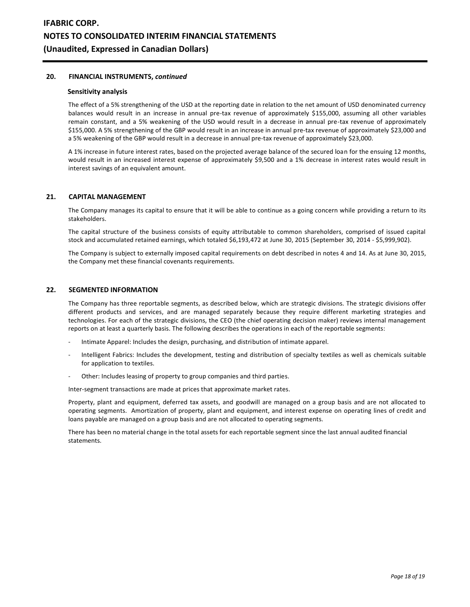### **20. FINANCIAL INSTRUMENTS,** *continued*

#### **Sensitivity analysis**

The effect of a 5% strengthening of the USD at the reporting date in relation to the net amount of USD denominated currency balances would result in an increase in annual pre-tax revenue of approximately \$155,000, assuming all other variables remain constant, and a 5% weakening of the USD would result in a decrease in annual pre-tax revenue of approximately \$155,000. A 5% strengthening of the GBP would result in an increase in annual pre-tax revenue of approximately \$23,000 and a 5% weakening of the GBP would result in a decrease in annual pre-tax revenue of approximately \$23,000.

A 1% increase in future interest rates, based on the projected average balance of the secured loan for the ensuing 12 months, would result in an increased interest expense of approximately \$9,500 and a 1% decrease in interest rates would result in interest savings of an equivalent amount.

#### **21. CAPITAL MANAGEMENT**

The Company manages its capital to ensure that it will be able to continue as a going concern while providing a return to its stakeholders.

The capital structure of the business consists of equity attributable to common shareholders, comprised of issued capital stock and accumulated retained earnings, which totaled \$6,193,472 at June 30, 2015 (September 30, 2014 - \$5,999,902).

The Company is subject to externally imposed capital requirements on debt described in notes 4 and 14. As at June 30, 2015, the Company met these financial covenants requirements.

#### **22. SEGMENTED INFORMATION**

The Company has three reportable segments, as described below, which are strategic divisions. The strategic divisions offer different products and services, and are managed separately because they require different marketing strategies and technologies. For each of the strategic divisions, the CEO (the chief operating decision maker) reviews internal management reports on at least a quarterly basis. The following describes the operations in each of the reportable segments:

- Intimate Apparel: Includes the design, purchasing, and distribution of intimate apparel.
- Intelligent Fabrics: Includes the development, testing and distribution of specialty textiles as well as chemicals suitable for application to textiles.
- Other: Includes leasing of property to group companies and third parties.

Inter-segment transactions are made at prices that approximate market rates.

Property, plant and equipment, deferred tax assets, and goodwill are managed on a group basis and are not allocated to operating segments. Amortization of property, plant and equipment, and interest expense on operating lines of credit and loans payable are managed on a group basis and are not allocated to operating segments.

There has been no material change in the total assets for each reportable segment since the last annual audited financial statements.